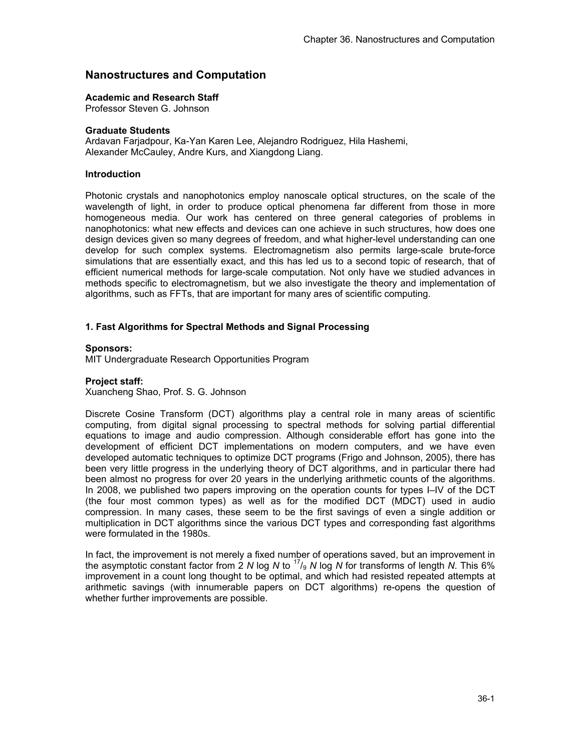# **Nanostructures and Computation**

#### **Academic and Research Staff**

Professor Steven G. Johnson

#### **Graduate Students**

Ardavan Farjadpour, Ka-Yan Karen Lee, Alejandro Rodriguez, Hila Hashemi, Alexander McCauley, Andre Kurs, and Xiangdong Liang.

#### **Introduction**

Photonic crystals and nanophotonics employ nanoscale optical structures, on the scale of the wavelength of light, in order to produce optical phenomena far different from those in more homogeneous media. Our work has centered on three general categories of problems in nanophotonics: what new effects and devices can one achieve in such structures, how does one design devices given so many degrees of freedom, and what higher-level understanding can one develop for such complex systems. Electromagnetism also permits large-scale brute-force simulations that are essentially exact, and this has led us to a second topic of research, that of efficient numerical methods for large-scale computation. Not only have we studied advances in methods specific to electromagnetism, but we also investigate the theory and implementation of algorithms, such as FFTs, that are important for many ares of scientific computing.

### **1. Fast Algorithms for Spectral Methods and Signal Processing**

## **Sponsors:**

MIT Undergraduate Research Opportunities Program

#### **Project staff:**

Xuancheng Shao, Prof. S. G. Johnson

Discrete Cosine Transform (DCT) algorithms play a central role in many areas of scientific computing, from digital signal processing to spectral methods for solving partial differential equations to image and audio compression. Although considerable effort has gone into the development of efficient DCT implementations on modern computers, and we have even developed automatic techniques to optimize DCT programs (Frigo and Johnson, 2005), there has been very little progress in the underlying theory of DCT algorithms, and in particular there had been almost no progress for over 20 years in the underlying arithmetic counts of the algorithms. In 2008, we published two papers improving on the operation counts for types I–IV of the DCT (the four most common types) as well as for the modified DCT (MDCT) used in audio compression. In many cases, these seem to be the first savings of even a single addition or multiplication in DCT algorithms since the various DCT types and corresponding fast algorithms were formulated in the 1980s.

In fact, the improvement is not merely a fixed number of operations saved, but an improvement in the asymptotic constant factor from 2 *N* log *N* to 17/9 *N* log *N* for transforms of length *N*. This 6% improvement in a count long thought to be optimal, and which had resisted repeated attempts at arithmetic savings (with innumerable papers on DCT algorithms) re-opens the question of whether further improvements are possible.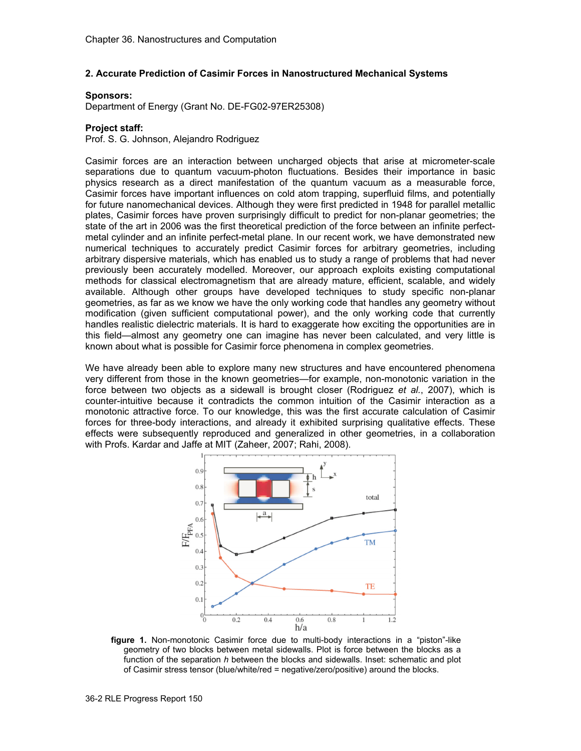## **2. Accurate Prediction of Casimir Forces in Nanostructured Mechanical Systems**

#### **Sponsors:**

Department of Energy (Grant No. DE-FG02-97ER25308)

## **Project staff:**

Prof. S. G. Johnson, Alejandro Rodriguez

Casimir forces are an interaction between uncharged objects that arise at micrometer-scale separations due to quantum vacuum-photon fluctuations. Besides their importance in basic physics research as a direct manifestation of the quantum vacuum as a measurable force, Casimir forces have important influences on cold atom trapping, superfluid films, and potentially for future nanomechanical devices. Although they were first predicted in 1948 for parallel metallic plates, Casimir forces have proven surprisingly difficult to predict for non-planar geometries; the state of the art in 2006 was the first theoretical prediction of the force between an infinite perfectmetal cylinder and an infinite perfect-metal plane. In our recent work, we have demonstrated new numerical techniques to accurately predict Casimir forces for arbitrary geometries, including arbitrary dispersive materials, which has enabled us to study a range of problems that had never previously been accurately modelled. Moreover, our approach exploits existing computational methods for classical electromagnetism that are already mature, efficient, scalable, and widely available. Although other groups have developed techniques to study specific non-planar geometries, as far as we know we have the only working code that handles any geometry without modification (given sufficient computational power), and the only working code that currently handles realistic dielectric materials. It is hard to exaggerate how exciting the opportunities are in this field—almost any geometry one can imagine has never been calculated, and very little is known about what is possible for Casimir force phenomena in complex geometries.

We have already been able to explore many new structures and have encountered phenomena very different from those in the known geometries—for example, non-monotonic variation in the force between two objects as a sidewall is brought closer (Rodriguez *et al.*, 2007), which is counter-intuitive because it contradicts the common intuition of the Casimir interaction as a monotonic attractive force. To our knowledge, this was the first accurate calculation of Casimir forces for three-body interactions, and already it exhibited surprising qualitative effects. These effects were subsequently reproduced and generalized in other geometries, in a collaboration with Profs. Kardar and Jaffe at MIT (Zaheer, 2007; Rahi, 2008).



**figure 1.** Non-monotonic Casimir force due to multi-body interactions in a "piston"-like geometry of two blocks between metal sidewalls. Plot is force between the blocks as a function of the separation *h* between the blocks and sidewalls. Inset: schematic and plot of Casimir stress tensor (blue/white/red = negative/zero/positive) around the blocks.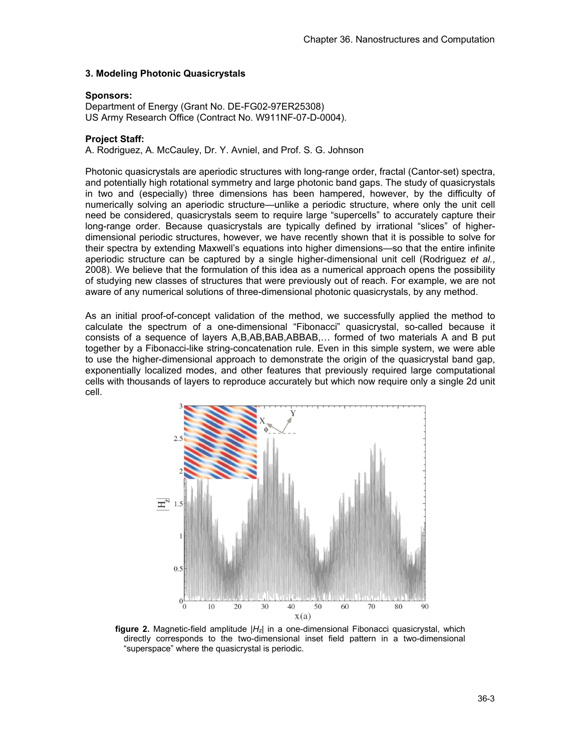### **3. Modeling Photonic Quasicrystals**

### **Sponsors:**

Department of Energy (Grant No. DE-FG02-97ER25308) US Army Research Office (Contract No. W911NF-07-D-0004).

#### **Project Staff:**

A. Rodriguez, A. McCauley, Dr. Y. Avniel, and Prof. S. G. Johnson

Photonic quasicrystals are aperiodic structures with long-range order, fractal (Cantor-set) spectra, and potentially high rotational symmetry and large photonic band gaps. The study of quasicrystals in two and (especially) three dimensions has been hampered, however, by the difficulty of numerically solving an aperiodic structure—unlike a periodic structure, where only the unit cell need be considered, quasicrystals seem to require large "supercells" to accurately capture their long-range order. Because quasicrystals are typically defined by irrational "slices" of higherdimensional periodic structures, however, we have recently shown that it is possible to solve for their spectra by extending Maxwell's equations into higher dimensions—so that the entire infinite aperiodic structure can be captured by a single higher-dimensional unit cell (Rodriguez *et al.*, 2008). We believe that the formulation of this idea as a numerical approach opens the possibility of studying new classes of structures that were previously out of reach. For example, we are not aware of any numerical solutions of three-dimensional photonic quasicrystals, by any method.

As an initial proof-of-concept validation of the method, we successfully applied the method to calculate the spectrum of a one-dimensional "Fibonacci" quasicrystal, so-called because it consists of a sequence of layers A,B,AB,BAB,ABBAB,… formed of two materials A and B put together by a Fibonacci-like string-concatenation rule. Even in this simple system, we were able to use the higher-dimensional approach to demonstrate the origin of the quasicrystal band gap, exponentially localized modes, and other features that previously required large computational cells with thousands of layers to reproduce accurately but which now require only a single 2d unit cell.



**figure 2.** Magnetic-field amplitude |*Hz*| in a one-dimensional Fibonacci quasicrystal, which directly corresponds to the two-dimensional inset field pattern in a two-dimensional "superspace" where the quasicrystal is periodic.